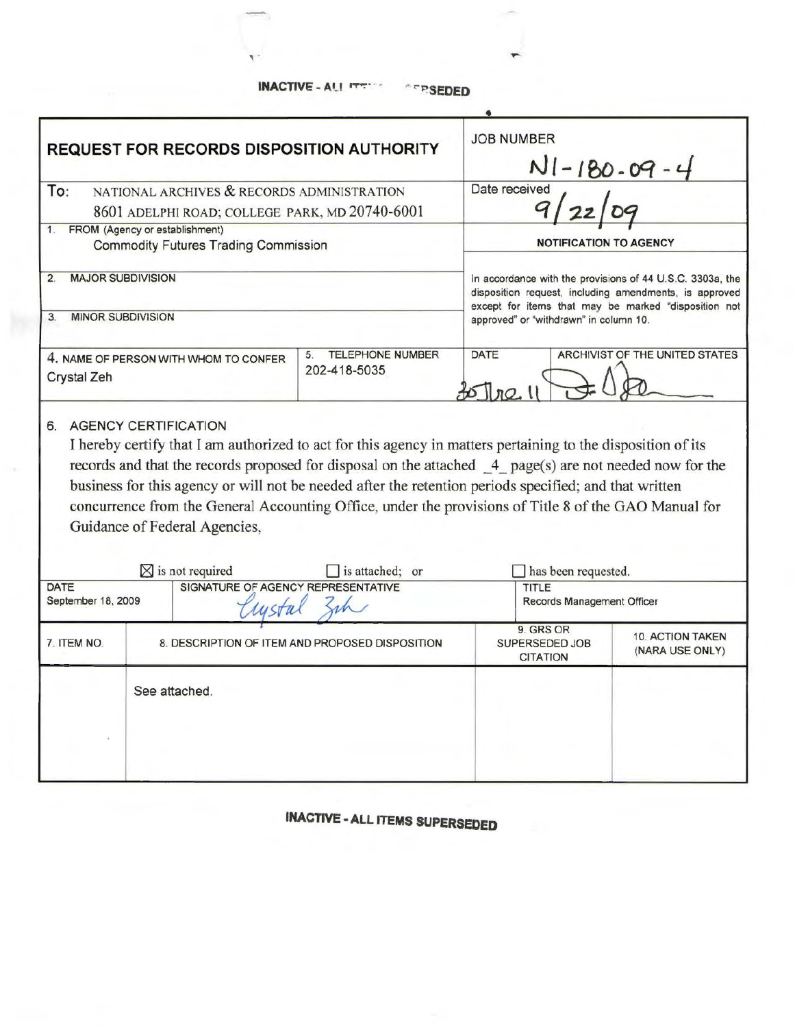**INACTIVE - Al.l** ,....,.. **•" t"J:?SEDED** 

'

|                                                                         | <b>REQUEST FOR RECORDS DISPOSITION AUTHORITY</b>                                                                                                                                                                                                                                                                                                                                                                                                                            | <b>JOB NUMBER</b><br>$N1 - 180 - 09 - 4$        |                                                                                                                                                                             |                                            |  |
|-------------------------------------------------------------------------|-----------------------------------------------------------------------------------------------------------------------------------------------------------------------------------------------------------------------------------------------------------------------------------------------------------------------------------------------------------------------------------------------------------------------------------------------------------------------------|-------------------------------------------------|-----------------------------------------------------------------------------------------------------------------------------------------------------------------------------|--------------------------------------------|--|
| To:<br>NATIONAL ARCHIVES & RECORDS ADMINISTRATION                       |                                                                                                                                                                                                                                                                                                                                                                                                                                                                             |                                                 | Date received                                                                                                                                                               |                                            |  |
|                                                                         | 8601 ADELPHI ROAD; COLLEGE PARK, MD 20740-6001                                                                                                                                                                                                                                                                                                                                                                                                                              |                                                 |                                                                                                                                                                             |                                            |  |
| 1.                                                                      | FROM (Agency or establishment)<br><b>Commodity Futures Trading Commission</b>                                                                                                                                                                                                                                                                                                                                                                                               |                                                 | <b>NOTIFICATION TO AGENCY</b>                                                                                                                                               |                                            |  |
| <b>MAJOR SUBDIVISION</b><br>2.                                          |                                                                                                                                                                                                                                                                                                                                                                                                                                                                             |                                                 | In accordance with the provisions of 44 U.S.C. 3303a, the<br>disposition request, including amendments, is approved<br>except for items that may be marked "disposition not |                                            |  |
| MINOR SUBDIVISION<br>3.                                                 |                                                                                                                                                                                                                                                                                                                                                                                                                                                                             |                                                 | approved" or "withdrawn" in column 10.                                                                                                                                      |                                            |  |
| Crystal Zeh                                                             | 4. NAME OF PERSON WITH WHOM TO CONFER                                                                                                                                                                                                                                                                                                                                                                                                                                       | <b>TELEPHONE NUMBER</b><br>5.<br>202-418-5035   | DATE                                                                                                                                                                        | ARCHIVIST OF THE UNITED STATES             |  |
|                                                                         | I hereby certify that I am authorized to act for this agency in matters pertaining to the disposition of its<br>records and that the records proposed for disposal on the attached 4 page(s) are not needed now for the<br>business for this agency or will not be needed after the retention periods specified; and that written<br>concurrence from the General Accounting Office, under the provisions of Title 8 of the GAO Manual for<br>Guidance of Federal Agencies, |                                                 |                                                                                                                                                                             |                                            |  |
|                                                                         | $\boxtimes$ is not required                                                                                                                                                                                                                                                                                                                                                                                                                                                 | is attached; or                                 | has been requested.                                                                                                                                                         |                                            |  |
| SIGNATURE OF AGENCY REPRESENTATIVE<br><b>DATE</b><br>September 18, 2009 |                                                                                                                                                                                                                                                                                                                                                                                                                                                                             | <b>TITLE</b><br>Records Management Officer      |                                                                                                                                                                             |                                            |  |
| 7. ITEM NO.                                                             |                                                                                                                                                                                                                                                                                                                                                                                                                                                                             | 8. DESCRIPTION OF ITEM AND PROPOSED DISPOSITION | 9. GRS OR<br>SUPERSEDED JOB<br><b>CITATION</b>                                                                                                                              | <b>10. ACTION TAKEN</b><br>(NARA USE ONLY) |  |
|                                                                         | See attached.                                                                                                                                                                                                                                                                                                                                                                                                                                                               |                                                 |                                                                                                                                                                             |                                            |  |

**INACTIVE • ALL ITEMS SUPERSEDED**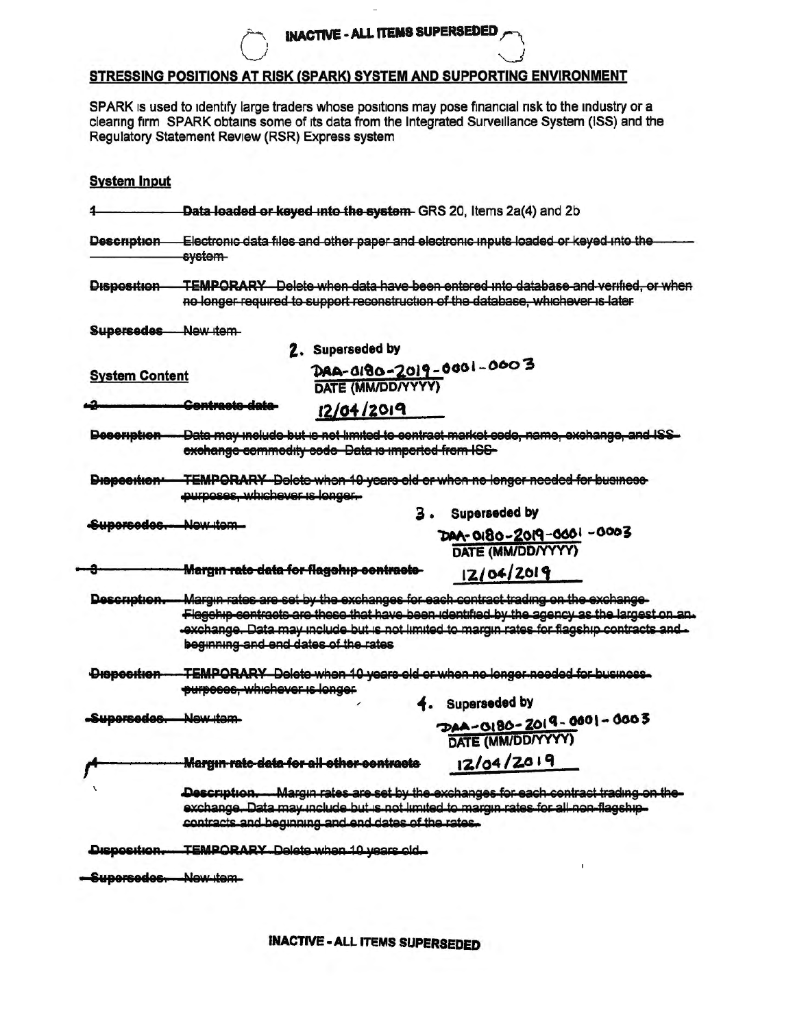## STRESSING POSITIONS AT RISK (SPARK) SYSTEM AND SUPPORTING ENVIRONMENT

SPARK is used to identify large traders whose positions may pose financial risk to the industry or a clearing firm SPARK obtains some of its data from the Integrated Surveillance System (ISS) and the Regulatory Statement Review (RSR) Express system

| Data loaded or keyed into the system- GRS 20, Items 2a(4) and 2b                                                                                         |                      |                                                                                                                                                                                                                                                                                                                                                                                                                                                                                                                                                                                                                                                                                                                 |  |  |
|----------------------------------------------------------------------------------------------------------------------------------------------------------|----------------------|-----------------------------------------------------------------------------------------------------------------------------------------------------------------------------------------------------------------------------------------------------------------------------------------------------------------------------------------------------------------------------------------------------------------------------------------------------------------------------------------------------------------------------------------------------------------------------------------------------------------------------------------------------------------------------------------------------------------|--|--|
| Electronic data files and other paper and electronic inputs loaded or keyed into the<br>system-                                                          |                      |                                                                                                                                                                                                                                                                                                                                                                                                                                                                                                                                                                                                                                                                                                                 |  |  |
|                                                                                                                                                          |                      | TEMPORARY Delete when data have been entered into database and verified, or when                                                                                                                                                                                                                                                                                                                                                                                                                                                                                                                                                                                                                                |  |  |
| New item                                                                                                                                                 |                      |                                                                                                                                                                                                                                                                                                                                                                                                                                                                                                                                                                                                                                                                                                                 |  |  |
|                                                                                                                                                          |                      |                                                                                                                                                                                                                                                                                                                                                                                                                                                                                                                                                                                                                                                                                                                 |  |  |
| <b>System Content</b>                                                                                                                                    | DATE (MM/DD/YYYY)    |                                                                                                                                                                                                                                                                                                                                                                                                                                                                                                                                                                                                                                                                                                                 |  |  |
| <del>Contracte dete</del>                                                                                                                                | 12/04/2019           |                                                                                                                                                                                                                                                                                                                                                                                                                                                                                                                                                                                                                                                                                                                 |  |  |
| Data may molude but is not limited to contract market code, name, exchange, and ISS<br>Decemption-<br>exchange commodity code Data is imported from ICG- |                      |                                                                                                                                                                                                                                                                                                                                                                                                                                                                                                                                                                                                                                                                                                                 |  |  |
| <b>TEMPORARY</b> Delete when 10 years old or when no longer needed for business<br>Diepeertien-<br>purposes, whichever is longer.                        |                      |                                                                                                                                                                                                                                                                                                                                                                                                                                                                                                                                                                                                                                                                                                                 |  |  |
|                                                                                                                                                          |                      | 3. Superseded by                                                                                                                                                                                                                                                                                                                                                                                                                                                                                                                                                                                                                                                                                                |  |  |
|                                                                                                                                                          |                      | DAA-0180-2019-0001-0003<br>DATE (MM/DD/YYYY)                                                                                                                                                                                                                                                                                                                                                                                                                                                                                                                                                                                                                                                                    |  |  |
|                                                                                                                                                          |                      | 12/04/2019                                                                                                                                                                                                                                                                                                                                                                                                                                                                                                                                                                                                                                                                                                      |  |  |
|                                                                                                                                                          |                      | Flagehip contracts are these that have been identified by the agency as the largest on an.<br>exchange. Data may include but is not limited to margin rates for flagship contracts and.                                                                                                                                                                                                                                                                                                                                                                                                                                                                                                                         |  |  |
|                                                                                                                                                          |                      |                                                                                                                                                                                                                                                                                                                                                                                                                                                                                                                                                                                                                                                                                                                 |  |  |
| -Supersedes. New item-                                                                                                                                   |                      | 4. Superseded by<br>$DAA - O(80 - 2019 - 000) - 0003$<br>DATE (MM/DD/YYYY)                                                                                                                                                                                                                                                                                                                                                                                                                                                                                                                                                                                                                                      |  |  |
|                                                                                                                                                          |                      | 12/04/2019                                                                                                                                                                                                                                                                                                                                                                                                                                                                                                                                                                                                                                                                                                      |  |  |
|                                                                                                                                                          |                      |                                                                                                                                                                                                                                                                                                                                                                                                                                                                                                                                                                                                                                                                                                                 |  |  |
| TEMPORARY Delete when 10 years old.                                                                                                                      |                      |                                                                                                                                                                                                                                                                                                                                                                                                                                                                                                                                                                                                                                                                                                                 |  |  |
| New item                                                                                                                                                 |                      |                                                                                                                                                                                                                                                                                                                                                                                                                                                                                                                                                                                                                                                                                                                 |  |  |
|                                                                                                                                                          | Supercedec. New item | no longer required to support reconstruction of the database, whichever is later<br>2. Superseded by<br>DAA-0180-2019-0001-0003<br><b>Margın ratc data for flagehip centracte-</b><br>Margin rates are set by the exchanges for each contract trading on the exchange-<br>beginning and end dates of the rates<br>-TEMPORARY Delete when 10 years old or when no longer needed for business.<br>purposes, whichever is longer<br>Margın rate data for all other contracts<br>Description. Margin rates are set by the exchanges for each contract trading on the-<br>exchange. Data may include but is not limited to margin rates for all non-flagship-<br>contracts and beginning and end dates of the rates. |  |  |

**INACTIVE - ALL ITEMS SUPERSEDED**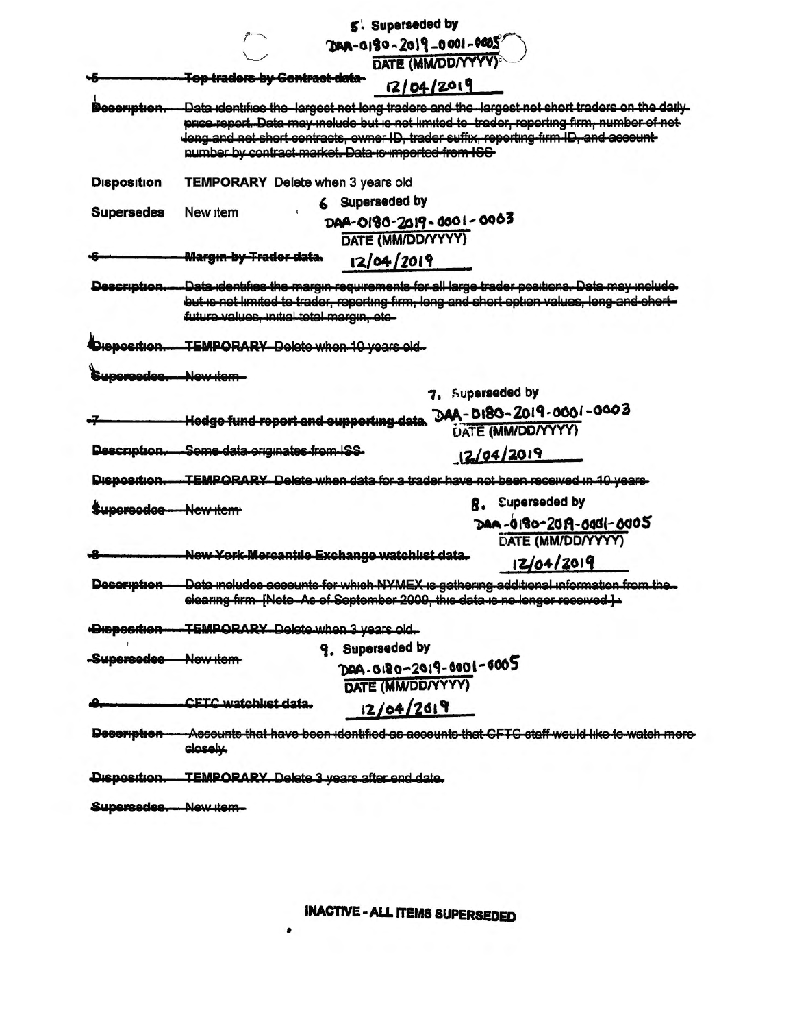|                            |                                                                                                                                                                                                                                                                                                                                               | 5. Superseded by                                                   |    |                                                                                                                                                                                         |
|----------------------------|-----------------------------------------------------------------------------------------------------------------------------------------------------------------------------------------------------------------------------------------------------------------------------------------------------------------------------------------------|--------------------------------------------------------------------|----|-----------------------------------------------------------------------------------------------------------------------------------------------------------------------------------------|
|                            |                                                                                                                                                                                                                                                                                                                                               | $200 - 1000 - 2019 - 0001 - 0005$                                  |    |                                                                                                                                                                                         |
|                            |                                                                                                                                                                                                                                                                                                                                               | DATE (MM/DD/YYYY)                                                  |    |                                                                                                                                                                                         |
|                            | <b>Top traders by Contract data-</b>                                                                                                                                                                                                                                                                                                          | 12/04/2019                                                         |    |                                                                                                                                                                                         |
| <del>coription.</del>      | Data identifies the largest net long traders and the largest net short traders on the daily-<br>price report. Data may include but is not limited to -trader, reporting firm, number of net<br>Jong and net short contracts, owner ID, trader suffix, reporting firm ID, and account-<br>number by contract market. Data is imported from ISS |                                                                    |    |                                                                                                                                                                                         |
| <b>Disposition</b>         | TEMPORARY Delete when 3 years old                                                                                                                                                                                                                                                                                                             |                                                                    |    |                                                                                                                                                                                         |
|                            | New item                                                                                                                                                                                                                                                                                                                                      | <b>Superseded by</b>                                               |    |                                                                                                                                                                                         |
| <b>Supersedes</b>          |                                                                                                                                                                                                                                                                                                                                               | DAA-0180-2019-0001-0003<br>DATE (MM/DD/YYYY)                       |    |                                                                                                                                                                                         |
|                            | Marg <del>ın by Trador data.</del>                                                                                                                                                                                                                                                                                                            | 12/04/2019                                                         |    |                                                                                                                                                                                         |
| Description.               | future values, initial total margin, etc-                                                                                                                                                                                                                                                                                                     |                                                                    |    | Data-identifies the margin requirements for all large trader positions. Data may include<br>but is not limited to trader, reporting firm, long and chort option values, long and chort- |
| Dianocition                | TEMPORARY Delete when 10 years old-                                                                                                                                                                                                                                                                                                           |                                                                    |    |                                                                                                                                                                                         |
| Supersedes                 | <u> Alew item </u>                                                                                                                                                                                                                                                                                                                            |                                                                    |    |                                                                                                                                                                                         |
|                            |                                                                                                                                                                                                                                                                                                                                               |                                                                    |    | 7. Superseded by                                                                                                                                                                        |
|                            | Hodgo fund report and supporting data                                                                                                                                                                                                                                                                                                         |                                                                    |    | DAA-0180-2019-0001-0003<br><b>UATE (MM/DD/YYYY)</b>                                                                                                                                     |
| Description.               | Some data originates from ISS.                                                                                                                                                                                                                                                                                                                |                                                                    |    | 12/04/2019                                                                                                                                                                              |
| Disposition.               |                                                                                                                                                                                                                                                                                                                                               |                                                                    |    | TEMPORARY Delete when data for a trader have not been received in 10 years                                                                                                              |
| <b>Supercedoc-New item</b> |                                                                                                                                                                                                                                                                                                                                               |                                                                    | 8. | <b>Superseded by</b>                                                                                                                                                                    |
|                            |                                                                                                                                                                                                                                                                                                                                               |                                                                    |    | DAA-0180-2019-0001-0005<br>DATE (MM/DD/YYYY)                                                                                                                                            |
|                            | New York-Mercantile Exchange watchlist data.                                                                                                                                                                                                                                                                                                  |                                                                    |    | 12/04/2019                                                                                                                                                                              |
| <b>Description</b>         |                                                                                                                                                                                                                                                                                                                                               | <b>FNote-As of September 2009, this data is no longer received</b> |    | -Data includes accounts for which NYMEX is gathering additional information from the.                                                                                                   |
| Dieposition-               | -TEMPORARY Delete when 3 years old.                                                                                                                                                                                                                                                                                                           |                                                                    |    |                                                                                                                                                                                         |
| -Supersedes New item-      |                                                                                                                                                                                                                                                                                                                                               | 9. Superseded by                                                   |    |                                                                                                                                                                                         |
|                            |                                                                                                                                                                                                                                                                                                                                               | DAA-0180-2019-0001-6005<br>DATE (MM/DD/YYYY)                       |    |                                                                                                                                                                                         |
|                            | CETC watchliet data                                                                                                                                                                                                                                                                                                                           | 12/04/2019                                                         |    |                                                                                                                                                                                         |
| <b>Decomption</b>          | closely.                                                                                                                                                                                                                                                                                                                                      |                                                                    |    | -Aecounte that have been identified as accounte that CFTC staff would like to watch more                                                                                                |
| Disposition.               | <b>TEMPORARY.</b> Delete 3 years after end date.                                                                                                                                                                                                                                                                                              |                                                                    |    |                                                                                                                                                                                         |
| Supersedes. New item-      |                                                                                                                                                                                                                                                                                                                                               |                                                                    |    |                                                                                                                                                                                         |

 $\bullet$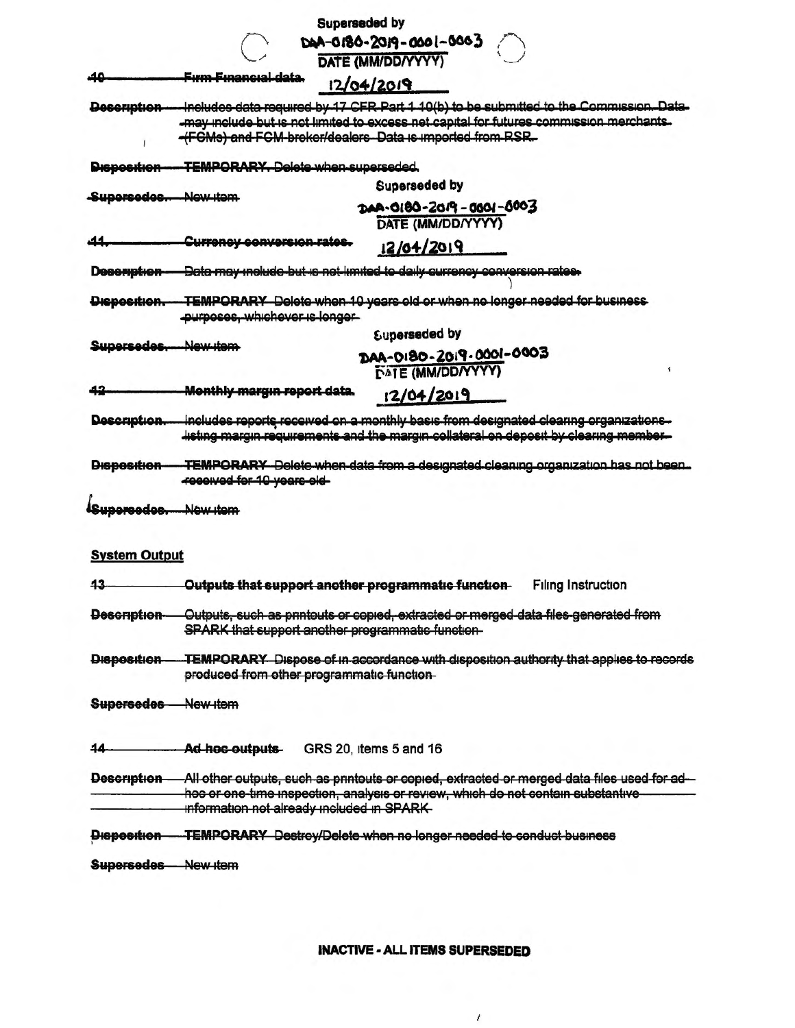| E000-1000-2019-0000-000<br>DATE (MM/DD/YYYY)<br><del>Fırm Fınancıal data.</del><br>12/04/2019<br>Includes data required by 17 CFR Part 1 10(b) to be submitted to the Commission. Data-<br>Description-<br>-may include but is not limited to excess net capital for futures commission merchants.<br>-(FGMs) and FGM-broker/dealers Data is imported from RSR.<br><b>TEMPORARY, Delete when superseded.</b><br><b>Superseded by</b><br>Supersedes. New item<br>DAA-0180-2019-0001-0003<br>DATE (MM/DD/YYYY)<br>Currency conversion rates.<br>12/04/2019<br>Data may include but is not limited to daily currency conversion rates.<br>TEMPORARY Delete when 10 years old or when no longer needed for business<br><del>Disposition.</del><br>purposes, whichever is longer-<br><b>Superseded by</b><br>Supersedes.<br>New item<br>DAA-0180-2019-0001-0003<br><b>DATE (MM/DD/YYYY)</b><br>Monthly margin report data.<br>12/04/2019<br>Includes reports received on a monthly basis from designated clearing organizations.<br>Description<br>listing margin requirements and the margin collateral on deposit by clearing member-<br>TEMPORARY Delete when data from a designated cleaning organization has not been.<br>received for 10 years old-<br>Supercedos. Now item<br><b>System Output</b><br>Outputs that support another programmatic function-<br><b>Filing Instruction</b><br>43<br>Outputs, such as printouts or copied, extracted or merged data files generated from<br>Description-<br>SPARK that support another programmatic function-<br>Disposition-<br>produced from other programmatic function-<br>Supersedes New Item<br>Ad-hoc-outputs-<br>GRS 20, items 5 and 16<br>44<br>Description All other outputs, such as printouts or copied, extracted or merged data files used for ad-<br>hoc or one-time inspection, analysis or review, which do not contain substantive-<br>information not already included in SPARK-<br>Disposition TEMPORARY Destroy/Delete when no longer needed to conduct business<br>Supersedes New Item |                    |                                                                                       | <b>Superseded by</b> |  |  |  |
|-----------------------------------------------------------------------------------------------------------------------------------------------------------------------------------------------------------------------------------------------------------------------------------------------------------------------------------------------------------------------------------------------------------------------------------------------------------------------------------------------------------------------------------------------------------------------------------------------------------------------------------------------------------------------------------------------------------------------------------------------------------------------------------------------------------------------------------------------------------------------------------------------------------------------------------------------------------------------------------------------------------------------------------------------------------------------------------------------------------------------------------------------------------------------------------------------------------------------------------------------------------------------------------------------------------------------------------------------------------------------------------------------------------------------------------------------------------------------------------------------------------------------------------------------------------------------------------------------------------------------------------------------------------------------------------------------------------------------------------------------------------------------------------------------------------------------------------------------------------------------------------------------------------------------------------------------------------------------------------------------------------------------------------------------------------|--------------------|---------------------------------------------------------------------------------------|----------------------|--|--|--|
|                                                                                                                                                                                                                                                                                                                                                                                                                                                                                                                                                                                                                                                                                                                                                                                                                                                                                                                                                                                                                                                                                                                                                                                                                                                                                                                                                                                                                                                                                                                                                                                                                                                                                                                                                                                                                                                                                                                                                                                                                                                           |                    |                                                                                       |                      |  |  |  |
|                                                                                                                                                                                                                                                                                                                                                                                                                                                                                                                                                                                                                                                                                                                                                                                                                                                                                                                                                                                                                                                                                                                                                                                                                                                                                                                                                                                                                                                                                                                                                                                                                                                                                                                                                                                                                                                                                                                                                                                                                                                           |                    |                                                                                       |                      |  |  |  |
|                                                                                                                                                                                                                                                                                                                                                                                                                                                                                                                                                                                                                                                                                                                                                                                                                                                                                                                                                                                                                                                                                                                                                                                                                                                                                                                                                                                                                                                                                                                                                                                                                                                                                                                                                                                                                                                                                                                                                                                                                                                           |                    |                                                                                       |                      |  |  |  |
|                                                                                                                                                                                                                                                                                                                                                                                                                                                                                                                                                                                                                                                                                                                                                                                                                                                                                                                                                                                                                                                                                                                                                                                                                                                                                                                                                                                                                                                                                                                                                                                                                                                                                                                                                                                                                                                                                                                                                                                                                                                           |                    |                                                                                       |                      |  |  |  |
|                                                                                                                                                                                                                                                                                                                                                                                                                                                                                                                                                                                                                                                                                                                                                                                                                                                                                                                                                                                                                                                                                                                                                                                                                                                                                                                                                                                                                                                                                                                                                                                                                                                                                                                                                                                                                                                                                                                                                                                                                                                           |                    |                                                                                       |                      |  |  |  |
|                                                                                                                                                                                                                                                                                                                                                                                                                                                                                                                                                                                                                                                                                                                                                                                                                                                                                                                                                                                                                                                                                                                                                                                                                                                                                                                                                                                                                                                                                                                                                                                                                                                                                                                                                                                                                                                                                                                                                                                                                                                           |                    |                                                                                       |                      |  |  |  |
|                                                                                                                                                                                                                                                                                                                                                                                                                                                                                                                                                                                                                                                                                                                                                                                                                                                                                                                                                                                                                                                                                                                                                                                                                                                                                                                                                                                                                                                                                                                                                                                                                                                                                                                                                                                                                                                                                                                                                                                                                                                           |                    |                                                                                       |                      |  |  |  |
|                                                                                                                                                                                                                                                                                                                                                                                                                                                                                                                                                                                                                                                                                                                                                                                                                                                                                                                                                                                                                                                                                                                                                                                                                                                                                                                                                                                                                                                                                                                                                                                                                                                                                                                                                                                                                                                                                                                                                                                                                                                           | <b>Disposition</b> |                                                                                       |                      |  |  |  |
|                                                                                                                                                                                                                                                                                                                                                                                                                                                                                                                                                                                                                                                                                                                                                                                                                                                                                                                                                                                                                                                                                                                                                                                                                                                                                                                                                                                                                                                                                                                                                                                                                                                                                                                                                                                                                                                                                                                                                                                                                                                           |                    |                                                                                       |                      |  |  |  |
|                                                                                                                                                                                                                                                                                                                                                                                                                                                                                                                                                                                                                                                                                                                                                                                                                                                                                                                                                                                                                                                                                                                                                                                                                                                                                                                                                                                                                                                                                                                                                                                                                                                                                                                                                                                                                                                                                                                                                                                                                                                           |                    |                                                                                       |                      |  |  |  |
|                                                                                                                                                                                                                                                                                                                                                                                                                                                                                                                                                                                                                                                                                                                                                                                                                                                                                                                                                                                                                                                                                                                                                                                                                                                                                                                                                                                                                                                                                                                                                                                                                                                                                                                                                                                                                                                                                                                                                                                                                                                           |                    |                                                                                       |                      |  |  |  |
|                                                                                                                                                                                                                                                                                                                                                                                                                                                                                                                                                                                                                                                                                                                                                                                                                                                                                                                                                                                                                                                                                                                                                                                                                                                                                                                                                                                                                                                                                                                                                                                                                                                                                                                                                                                                                                                                                                                                                                                                                                                           | Desemption         |                                                                                       |                      |  |  |  |
|                                                                                                                                                                                                                                                                                                                                                                                                                                                                                                                                                                                                                                                                                                                                                                                                                                                                                                                                                                                                                                                                                                                                                                                                                                                                                                                                                                                                                                                                                                                                                                                                                                                                                                                                                                                                                                                                                                                                                                                                                                                           |                    |                                                                                       |                      |  |  |  |
|                                                                                                                                                                                                                                                                                                                                                                                                                                                                                                                                                                                                                                                                                                                                                                                                                                                                                                                                                                                                                                                                                                                                                                                                                                                                                                                                                                                                                                                                                                                                                                                                                                                                                                                                                                                                                                                                                                                                                                                                                                                           |                    |                                                                                       |                      |  |  |  |
|                                                                                                                                                                                                                                                                                                                                                                                                                                                                                                                                                                                                                                                                                                                                                                                                                                                                                                                                                                                                                                                                                                                                                                                                                                                                                                                                                                                                                                                                                                                                                                                                                                                                                                                                                                                                                                                                                                                                                                                                                                                           |                    |                                                                                       |                      |  |  |  |
|                                                                                                                                                                                                                                                                                                                                                                                                                                                                                                                                                                                                                                                                                                                                                                                                                                                                                                                                                                                                                                                                                                                                                                                                                                                                                                                                                                                                                                                                                                                                                                                                                                                                                                                                                                                                                                                                                                                                                                                                                                                           |                    |                                                                                       |                      |  |  |  |
|                                                                                                                                                                                                                                                                                                                                                                                                                                                                                                                                                                                                                                                                                                                                                                                                                                                                                                                                                                                                                                                                                                                                                                                                                                                                                                                                                                                                                                                                                                                                                                                                                                                                                                                                                                                                                                                                                                                                                                                                                                                           |                    |                                                                                       |                      |  |  |  |
|                                                                                                                                                                                                                                                                                                                                                                                                                                                                                                                                                                                                                                                                                                                                                                                                                                                                                                                                                                                                                                                                                                                                                                                                                                                                                                                                                                                                                                                                                                                                                                                                                                                                                                                                                                                                                                                                                                                                                                                                                                                           |                    |                                                                                       |                      |  |  |  |
|                                                                                                                                                                                                                                                                                                                                                                                                                                                                                                                                                                                                                                                                                                                                                                                                                                                                                                                                                                                                                                                                                                                                                                                                                                                                                                                                                                                                                                                                                                                                                                                                                                                                                                                                                                                                                                                                                                                                                                                                                                                           |                    |                                                                                       |                      |  |  |  |
|                                                                                                                                                                                                                                                                                                                                                                                                                                                                                                                                                                                                                                                                                                                                                                                                                                                                                                                                                                                                                                                                                                                                                                                                                                                                                                                                                                                                                                                                                                                                                                                                                                                                                                                                                                                                                                                                                                                                                                                                                                                           |                    |                                                                                       |                      |  |  |  |
|                                                                                                                                                                                                                                                                                                                                                                                                                                                                                                                                                                                                                                                                                                                                                                                                                                                                                                                                                                                                                                                                                                                                                                                                                                                                                                                                                                                                                                                                                                                                                                                                                                                                                                                                                                                                                                                                                                                                                                                                                                                           | Disposition        |                                                                                       |                      |  |  |  |
|                                                                                                                                                                                                                                                                                                                                                                                                                                                                                                                                                                                                                                                                                                                                                                                                                                                                                                                                                                                                                                                                                                                                                                                                                                                                                                                                                                                                                                                                                                                                                                                                                                                                                                                                                                                                                                                                                                                                                                                                                                                           |                    |                                                                                       |                      |  |  |  |
|                                                                                                                                                                                                                                                                                                                                                                                                                                                                                                                                                                                                                                                                                                                                                                                                                                                                                                                                                                                                                                                                                                                                                                                                                                                                                                                                                                                                                                                                                                                                                                                                                                                                                                                                                                                                                                                                                                                                                                                                                                                           |                    |                                                                                       |                      |  |  |  |
|                                                                                                                                                                                                                                                                                                                                                                                                                                                                                                                                                                                                                                                                                                                                                                                                                                                                                                                                                                                                                                                                                                                                                                                                                                                                                                                                                                                                                                                                                                                                                                                                                                                                                                                                                                                                                                                                                                                                                                                                                                                           |                    |                                                                                       |                      |  |  |  |
|                                                                                                                                                                                                                                                                                                                                                                                                                                                                                                                                                                                                                                                                                                                                                                                                                                                                                                                                                                                                                                                                                                                                                                                                                                                                                                                                                                                                                                                                                                                                                                                                                                                                                                                                                                                                                                                                                                                                                                                                                                                           |                    |                                                                                       |                      |  |  |  |
|                                                                                                                                                                                                                                                                                                                                                                                                                                                                                                                                                                                                                                                                                                                                                                                                                                                                                                                                                                                                                                                                                                                                                                                                                                                                                                                                                                                                                                                                                                                                                                                                                                                                                                                                                                                                                                                                                                                                                                                                                                                           |                    |                                                                                       |                      |  |  |  |
|                                                                                                                                                                                                                                                                                                                                                                                                                                                                                                                                                                                                                                                                                                                                                                                                                                                                                                                                                                                                                                                                                                                                                                                                                                                                                                                                                                                                                                                                                                                                                                                                                                                                                                                                                                                                                                                                                                                                                                                                                                                           |                    |                                                                                       |                      |  |  |  |
|                                                                                                                                                                                                                                                                                                                                                                                                                                                                                                                                                                                                                                                                                                                                                                                                                                                                                                                                                                                                                                                                                                                                                                                                                                                                                                                                                                                                                                                                                                                                                                                                                                                                                                                                                                                                                                                                                                                                                                                                                                                           |                    | TEMPORARY Dispose of in accordance with disposition authority that applies to records |                      |  |  |  |
|                                                                                                                                                                                                                                                                                                                                                                                                                                                                                                                                                                                                                                                                                                                                                                                                                                                                                                                                                                                                                                                                                                                                                                                                                                                                                                                                                                                                                                                                                                                                                                                                                                                                                                                                                                                                                                                                                                                                                                                                                                                           |                    |                                                                                       |                      |  |  |  |
|                                                                                                                                                                                                                                                                                                                                                                                                                                                                                                                                                                                                                                                                                                                                                                                                                                                                                                                                                                                                                                                                                                                                                                                                                                                                                                                                                                                                                                                                                                                                                                                                                                                                                                                                                                                                                                                                                                                                                                                                                                                           |                    |                                                                                       |                      |  |  |  |
|                                                                                                                                                                                                                                                                                                                                                                                                                                                                                                                                                                                                                                                                                                                                                                                                                                                                                                                                                                                                                                                                                                                                                                                                                                                                                                                                                                                                                                                                                                                                                                                                                                                                                                                                                                                                                                                                                                                                                                                                                                                           |                    |                                                                                       |                      |  |  |  |
|                                                                                                                                                                                                                                                                                                                                                                                                                                                                                                                                                                                                                                                                                                                                                                                                                                                                                                                                                                                                                                                                                                                                                                                                                                                                                                                                                                                                                                                                                                                                                                                                                                                                                                                                                                                                                                                                                                                                                                                                                                                           |                    |                                                                                       |                      |  |  |  |
|                                                                                                                                                                                                                                                                                                                                                                                                                                                                                                                                                                                                                                                                                                                                                                                                                                                                                                                                                                                                                                                                                                                                                                                                                                                                                                                                                                                                                                                                                                                                                                                                                                                                                                                                                                                                                                                                                                                                                                                                                                                           |                    |                                                                                       |                      |  |  |  |